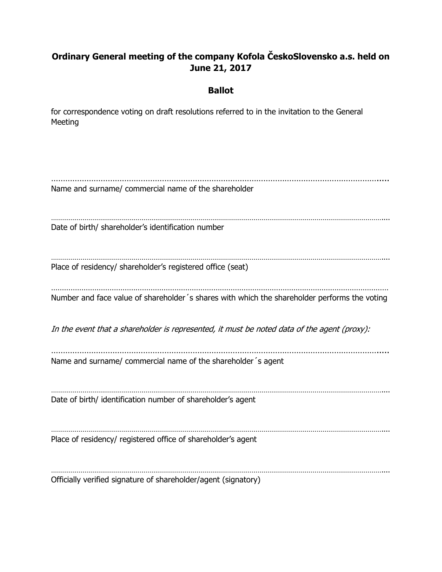# **Ordinary General meeting of the company Kofola ČeskoSlovensko a.s. held on June 21, 2017**

## **Ballot**

for correspondence voting on draft resolutions referred to in the invitation to the General Meeting

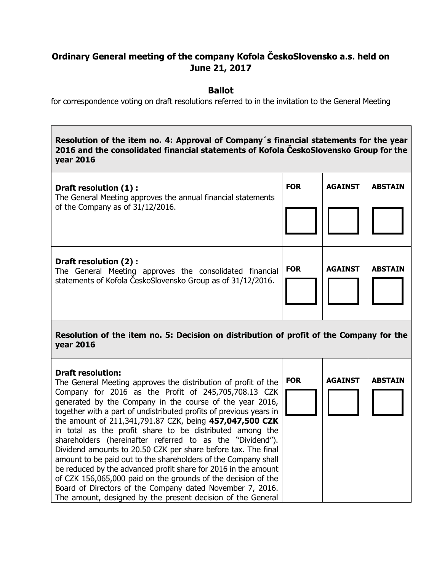# **Ordinary General meeting of the company Kofola ČeskoSlovensko a.s. held on June 21, 2017**

### **Ballot**

for correspondence voting on draft resolutions referred to in the invitation to the General Meeting

**Resolution of the item no. 4: Approval of Company´s financial statements for the year 2016 and the consolidated financial statements of Kofola ČeskoSlovensko Group for the year 2016**

| Draft resolution (1) :<br>The General Meeting approves the annual financial statements<br>of the Company as of 31/12/2016.                      | <b>FOR</b> | <b>AGAINST</b> | <b>ABSTAIN</b> |
|-------------------------------------------------------------------------------------------------------------------------------------------------|------------|----------------|----------------|
| Draft resolution (2):<br>The General Meeting approves the consolidated financial<br>statements of Kofola ČeskoSlovensko Group as of 31/12/2016. | <b>FOR</b> | <b>AGAINST</b> | <b>ABSTAIN</b> |

## **Resolution of the item no. 5: Decision on distribution of profit of the Company for the year 2016**

| <b>Draft resolution:</b><br>The General Meeting approves the distribution of profit of the<br>Company for 2016 as the Profit of 245,705,708.13 CZK<br>generated by the Company in the course of the year 2016,<br>together with a part of undistributed profits of previous years in<br>the amount of 211,341,791.87 CZK, being 457,047,500 CZK<br>in total as the profit share to be distributed among the<br>shareholders (hereinafter referred to as the "Dividend").<br>Dividend amounts to 20.50 CZK per share before tax. The final | <b>FOR</b> | <b>AGAINST</b> | <b>ABSTAIN</b> |
|-------------------------------------------------------------------------------------------------------------------------------------------------------------------------------------------------------------------------------------------------------------------------------------------------------------------------------------------------------------------------------------------------------------------------------------------------------------------------------------------------------------------------------------------|------------|----------------|----------------|
| amount to be paid out to the shareholders of the Company shall<br>be reduced by the advanced profit share for 2016 in the amount                                                                                                                                                                                                                                                                                                                                                                                                          |            |                |                |
| of CZK 156,065,000 paid on the grounds of the decision of the                                                                                                                                                                                                                                                                                                                                                                                                                                                                             |            |                |                |
| Board of Directors of the Company dated November 7, 2016.                                                                                                                                                                                                                                                                                                                                                                                                                                                                                 |            |                |                |
| The amount, designed by the present decision of the General                                                                                                                                                                                                                                                                                                                                                                                                                                                                               |            |                |                |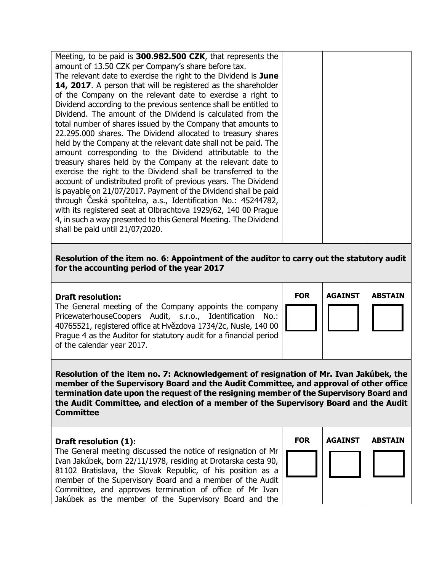| Meeting, to be paid is <b>300.982.500 CZK</b> , that represents the |  |  |
|---------------------------------------------------------------------|--|--|
| amount of 13.50 CZK per Company's share before tax.                 |  |  |
| The relevant date to exercise the right to the Dividend is June     |  |  |
| 14, 2017. A person that will be registered as the shareholder       |  |  |
| of the Company on the relevant date to exercise a right to          |  |  |
| Dividend according to the previous sentence shall be entitled to    |  |  |
| Dividend. The amount of the Dividend is calculated from the         |  |  |
| total number of shares issued by the Company that amounts to        |  |  |
| 22.295.000 shares. The Dividend allocated to treasury shares        |  |  |
| held by the Company at the relevant date shall not be paid. The     |  |  |
| amount corresponding to the Dividend attributable to the            |  |  |
| treasury shares held by the Company at the relevant date to         |  |  |
| exercise the right to the Dividend shall be transferred to the      |  |  |
| account of undistributed profit of previous years. The Dividend     |  |  |
| is payable on 21/07/2017. Payment of the Dividend shall be paid     |  |  |
| through Česká spořitelna, a.s., Identification No.: 45244782,       |  |  |
| with its registered seat at Olbrachtova 1929/62, 140 00 Prague      |  |  |
| 4, in such a way presented to this General Meeting. The Dividend    |  |  |
| shall be paid until 21/07/2020.                                     |  |  |
|                                                                     |  |  |

### **Resolution of the item no. 6: Appointment of the auditor to carry out the statutory audit for the accounting period of the year 2017**

#### **Draft resolution:**

The General meeting of the Company appoints the company PricewaterhouseCoopers Audit, s.r.o., Identification No.: 40765521, registered office at Hvězdova 1734/2c, Nusle, 140 00 Prague 4 as the Auditor for statutory audit for a financial period of the calendar year 2017.

| <b>FOR</b> | í<br>Α |
|------------|--------|
|            |        |
|            |        |
|            |        |

| GAINST | <b>ABSTAIN</b> |
|--------|----------------|
|        |                |

**Resolution of the item no. 7: Acknowledgement of resignation of Mr. Ivan Jakúbek, the member of the Supervisory Board and the Audit Committee, and approval of other office termination date upon the request of the resigning member of the Supervisory Board and the Audit Committee, and election of a member of the Supervisory Board and the Audit Committee**

#### **Draft resolution (1):**

The General meeting discussed the notice of resignation of M Ivan Jakúbek, born 22/11/1978, residing at Drotarska cesta 90, 81102 Bratislava, the Slovak Republic, of his position as member of the Supervisory Board and a member of the Audi Committee, and approves termination of office of Mr Ivan Jakúbek as the member of the Supervisory Board and the

|    | <b>FOR</b> | <b>AGAINST</b> | <b>ABSTAIN</b> |
|----|------------|----------------|----------------|
| 1r |            |                |                |
| ,  |            |                |                |
| a  |            |                |                |
| it |            |                |                |
| n  |            |                |                |
| e  |            |                |                |